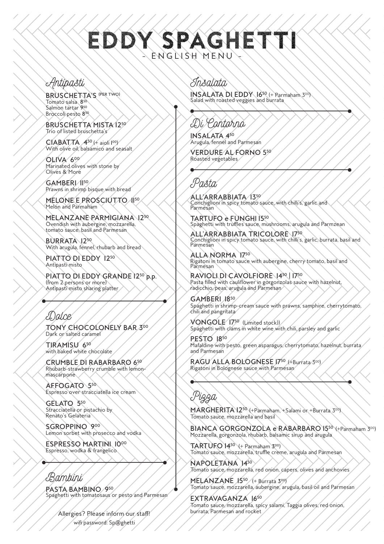# DDY SPAGHET ENGLISH MENU

### Antipasti

BRUSCHETTA'S (PER TWO) Tomato salsa 8<sup>50</sup> Salmon tartar 950 Broccoli pesto 850

BRUSCHETTA MISTA 1250 Trio of listed bruschetta's

 $C$ IABATTA  $A^{50}$  ( $4$  aioli l<sup>oo</sup>) With olive oil, balsamico and seasalt

OLIVA 600 Marinated olives with stone by Olives & More

GAMBERI 1150 Prawns in shrimp bisque with bread

MELONE E PROSCIUTTO 1150 Melon and Parmaham

MELANZANE PARMIGIANA 1250 Ovendish with aubergine, mozzarella, tomato sauce, basil and Parmesan

BURRATA 1250 With arugula, fennel, rhubarb and bread

PIATTO DI EDDY 1250 Antipasti misto

PIATTO DI EDDY GRANDE 1250 p.p. (from 2 persons or more) Antipasti misto sharing platter

# E)alce

TONY CHOCOLONELY BAR 300 Dark or salted caramel

TIRAMISU 650 with baked white chocolate

CRUMBLE DI RABARBARO 650 Rhubarb-strawberry crumble with lemonmascarpone

AFFOGATO 550 Espresso over stracciatella ice cream

GELATO 550 Stracciatella or pistachio by Renato's Gelateria

SGROPPINO 900 Lemon sorbet with prosecco and vodka

ESPRESSO MARTINI 1000 Espresso, wodka & frangelico

### Bambini

PASTA BAMBINO 950 Spaghetti with tomatosaus or pesto and Parmesan

wifi password: Sp@ghetti Allergies? Please inform our staff!

#### Insalata

INSALATA DI EDDY 1650 (+ Parmaham 300) Salad with roasted veggies and burrata

## Di Contorno

INSALATA 450 Arugula, fennel and Parmesan

VERDURE AL FORNO 550 Roasted vegetables

'a&ta

ALL'ARRABBIATA 1350 Conchiglioni in spicy tomato sauce, with chilli's, garlic and Parmesan

TARTUFO e FUNGHI 1550 Spaghetti with truffles sauce, mushrooms, arugula and Parmzean

ALL'ARRABBIATA TRICOLORE 1750 Conchiglioni in spicy tomato sauce, with chilli's, garlic, burrata, basil and Parmesan

ALLA NORMA 1750 Rigatoni in tomato sauce with aubergine, cherry tomato, basil and Parmesan

RAVIOLI DI CAVOLFIORE 1450 | 1750 Pasta filled with cauliflower in gorgonzolas sauce with hazelnut, radicchio, peas, arugula and Parmesan

GAMBERI 1850 Spaghetti in shrimp-cream sauce with prawns, samphire, cherrytomato, chili and pangritata

VONGOLE 1750 (Limited stock)) Spaghetti with clams in white wine with chili, parsley and garlic

PESTO 1850 Mafaldine with pesto, green asparagus, cherrytomato, hazelnut, burrata and Parmesan

RAGU ALLA BOLOGNESE 1750 (+Burrata 300) Rigatoni in Bolognese sauce with Parmesan

Pizza

MARGHERITA 1250 (+Parmaham, +Salami or +Burrata 300) Tomato sauce, mozzarella and basil

BIANCA GORGONZOLA e RABARBARO 1550 (+Parmaham 300) Mozzarella, gorgonzola, rhubarb, balsamic sirup and arugula

 $\text{TARTUFO } 14^{50}$  (+ Parmaham 300) Tomato sauce, mozzarella, truffle creme, arugula and Parmesan

NAPOLETANA 1450 Tomato sauce, mozzarella, red onion, capers, olives and anchovies

MELANZANE 1550 / (+ Burrata 300) Tomato sauce, mozzarella, aubergine, arugula, basil oil and Parmesan

EXTRAVAGANZA 1650 Tomato sauce, mozzarella, spicy salami, Taggia olives, red onion, burrata, Parmesan and rocket